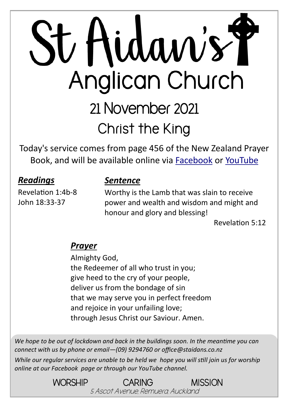# St Hidaw's Y Anglican Church 21 November 2021 **Christ the King**

Today's service comes from page 456 of the New Zealand Prayer Book, and will be available online via [Facebook](https://www.facebook.com/StAidansRemuera/) or [YouTube](https://www.youtube.com/channel/UCp1KTUD3GRs20GGAFeAZ7fQ)

#### *Readings*

Revelation 1:4b-8 John 18:33-37

#### *Sentence*

Worthy is the Lamb that was slain to receive power and wealth and wisdom and might and honour and glory and blessing!

Revelation 5:12

#### *Prayer*

Almighty God, the Redeemer of all who trust in you; give heed to the cry of your people, deliver us from the bondage of sin that we may serve you in perfect freedom and rejoice in your unfailing love; through Jesus Christ our Saviour. Amen.

*We hope to be out of lockdown and back in the buildings soon. In the meantime you can connect with us by phone or email—(09) 9294760 or office@staidans.co.nz*

*While our regular services are unable to be held we hope you will still join us for worship online at our Facebook page or through our YouTube channel.*

> WORSHIP CARING MISSION 5 Ascot Avenue, Remuera, Auckland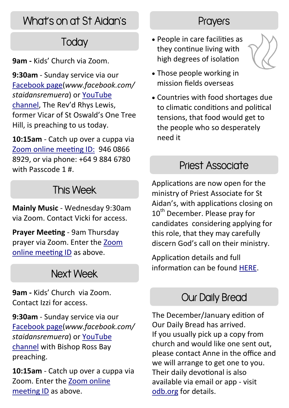# What's on at St Aidan's

# **Today**

**9am -** Kids' Church via Zoom.

**9:30am** - Sunday service via our [Facebook page\(](https://www.facebook.com/StAidansRemuera/)*www.facebook.com/ staidansremuera*) or [YouTube](https://www.youtube.com/channel/UCp1KTUD3GRs20GGAFeAZ7fQ)  [channel,](https://www.youtube.com/channel/UCp1KTUD3GRs20GGAFeAZ7fQ) The Rev'd Rhys Lewis, former Vicar of St Oswald's One Tree Hill, is preaching to us today.

**10:15am** - Catch up over a cuppa via [Zoom online meeting ID:](https://zoom.us/j/94608668929?pwd=TkZLeU1MY2d5eUpqeTJ5WUJTRHlVUT09) 946 0866 8929, or via phone: +64 9 884 6780 with Passcode 1 #.

## This Week

**Mainly Music** - Wednesday 9:30am via Zoom. Contact Vicki for access.

**Prayer Meeting** - 9am Thursday prayer via Zoom. Enter the [Zoom](https://zoom.us/j/94608668929?pwd=TkZLeU1MY2d5eUpqeTJ5WUJTRHlVUT09)  [online meeting ID](https://zoom.us/j/94608668929?pwd=TkZLeU1MY2d5eUpqeTJ5WUJTRHlVUT09) as above.

### Next Week

**9am -** Kids' Church via Zoom. Contact Izzi for access.

**9:30am** - Sunday service via our [Facebook page\(](https://www.facebook.com/StAidansRemuera/)*www.facebook.com/ staidansremuera*) or [YouTube](https://www.youtube.com/channel/UCp1KTUD3GRs20GGAFeAZ7fQ)  [channel](https://www.youtube.com/channel/UCp1KTUD3GRs20GGAFeAZ7fQ) with Bishop Ross Bay preaching.

**10:15am** - Catch up over a cuppa via Zoom. Enter the [Zoom online](https://zoom.us/j/94608668929?pwd=TkZLeU1MY2d5eUpqeTJ5WUJTRHlVUT09)  [meeting ID](https://zoom.us/j/94608668929?pwd=TkZLeU1MY2d5eUpqeTJ5WUJTRHlVUT09) as above.

#### **Prayers**

• People in care facilities as they continue living with high degrees of isolation



- Those people working in mission fields overseas
- Countries with food shortages due to climatic conditions and political tensions, that food would get to the people who so desperately need it

#### Priest Associate

Applications are now open for the ministry of Priest Associate for St Aidan's, with applications closing on 10<sup>th</sup> December. Please pray for candidates considering applying for this role, that they may carefully discern God's call on their ministry.

Application details and full information can be found [HERE.](https://aucklandanglican.org.nz/ministry-opportunities/priest-associate-st-aidans-remuera/)

#### Our Daily Bread

The December/January edition of Our Daily Bread has arrived. If you usually pick up a copy from church and would like one sent out, please contact Anne in the office and we will arrange to get one to you. Their daily devotional is also available via email or app - visit [odb.org](https://odb.org/subscription/nz/) for details.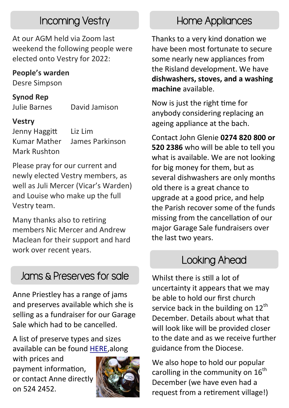## Incoming Vestry

At our AGM held via Zoom last weekend the following people were elected onto Vestry for 2022:

#### **People's warden**

Desre Simpson

#### **Synod Rep**

Julie Barnes David Jamison

#### **Vestry**

Jenny Haggitt Liz Lim Kumar Mather James Parkinson Mark Rushton

Please pray for our current and newly elected Vestry members, as well as Juli Mercer (Vicar's Warden) and Louise who make up the full Vestry team.

Many thanks also to retiring members Nic Mercer and Andrew Maclean for their support and hard work over recent years.

# Jams & Preserves for sale

Anne Priestley has a range of jams and preserves available which she is selling as a fundraiser for our Garage Sale which had to be cancelled.

A list of preserve types and sizes available can be found [HERE,a](https://www.staidans.co.nz/wp-content/uploads/2021/11/Anne-Ps-preserves-2021.pdf)long

with prices and payment information, or contact Anne directly on 524 2452.



# Home Appliances

Thanks to a very kind donation we have been most fortunate to secure some nearly new appliances from the Risland development. We have **dishwashers, stoves, and a washing machine** available.

Now is just the right time for anybody considering replacing an ageing appliance at the bach.

Contact John Glenie **0274 820 800 or 520 2386** who will be able to tell you what is available. We are not looking for big money for them, but as several dishwashers are only months old there is a great chance to upgrade at a good price, and help the Parish recover some of the funds missing from the cancellation of our major Garage Sale fundraisers over the last two years.

# Looking Ahead

Whilst there is still a lot of uncertainty it appears that we may be able to hold our first church service back in the building on  $12<sup>th</sup>$ December. Details about what that will look like will be provided closer to the date and as we receive further guidance from the Diocese.

We also hope to hold our popular carolling in the community on  $16<sup>th</sup>$ December (we have even had a request from a retirement village!)